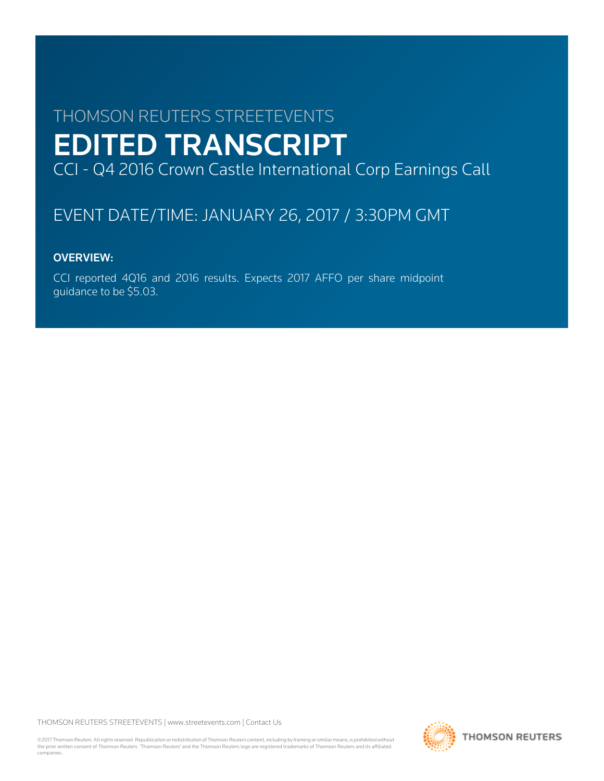# THOMSON REUTERS STREETEVENTS EDITED TRANSCRIPT CCI - Q4 2016 Crown Castle International Corp Earnings Call

# EVENT DATE/TIME: JANUARY 26, 2017 / 3:30PM GMT

# OVERVIEW:

CCI reported 4Q16 and 2016 results. Expects 2017 AFFO per share midpoint guidance to be \$5.03.

THOMSON REUTERS STREETEVENTS | [www.streetevents.com](http://www.streetevents.com) | [Contact Us](http://www010.streetevents.com/contact.asp)

©2017 Thomson Reuters. All rights reserved. Republication or redistribution of Thomson Reuters content, including by framing or similar means, is prohibited without the prior written consent of Thomson Reuters. 'Thomson Reuters' and the Thomson Reuters logo are registered trademarks of Thomson Reuters and its affiliated companies.

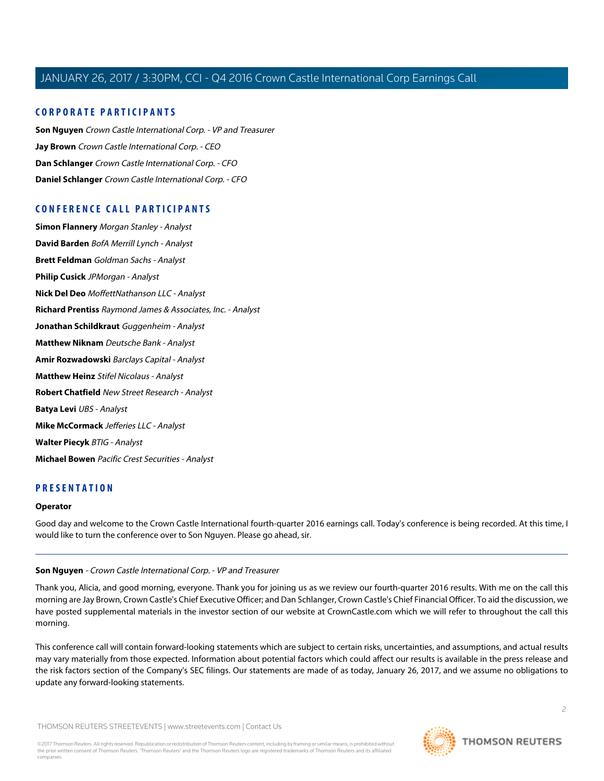# **CORPORATE PARTICIPANTS**

**[Son Nguyen](#page-1-0)** Crown Castle International Corp. - VP and Treasurer **[Jay Brown](#page-2-0)** Crown Castle International Corp. - CEO **[Dan Schlanger](#page-3-0)** Crown Castle International Corp. - CFO **[Daniel Schlanger](#page-9-0)** Crown Castle International Corp. - CFO

# **CONFERENCE CALL PARTICIPANTS**

**[Simon Flannery](#page-5-0)** Morgan Stanley - Analyst **[David Barden](#page-6-0)** BofA Merrill Lynch - Analyst **[Brett Feldman](#page-7-0)** Goldman Sachs - Analyst **[Philip Cusick](#page-7-1)** JPMorgan - Analyst **[Nick Del Deo](#page-8-0)** MoffettNathanson LLC - Analyst **[Richard Prentiss](#page-10-0)** Raymond James & Associates, Inc. - Analyst **[Jonathan Schildkraut](#page-11-0)** Guggenheim - Analyst **[Matthew Niknam](#page-12-0)** Deutsche Bank - Analyst **[Amir Rozwadowski](#page-14-0)** Barclays Capital - Analyst **[Matthew Heinz](#page-15-0)** Stifel Nicolaus - Analyst **[Robert Chatfield](#page-16-0)** New Street Research - Analyst **[Batya Levi](#page-17-0)** UBS - Analyst **[Mike McCormack](#page-18-0)** Jefferies LLC - Analyst **[Walter Piecyk](#page-18-1)** BTIG - Analyst **[Michael Bowen](#page-21-0)** Pacific Crest Securities - Analyst

# **PRESENTATION**

#### <span id="page-1-0"></span>**Operator**

Good day and welcome to the Crown Castle International fourth-quarter 2016 earnings call. Today's conference is being recorded. At this time, I would like to turn the conference over to Son Nguyen. Please go ahead, sir.

#### **Son Nguyen** - Crown Castle International Corp. - VP and Treasurer

Thank you, Alicia, and good morning, everyone. Thank you for joining us as we review our fourth-quarter 2016 results. With me on the call this morning are Jay Brown, Crown Castle's Chief Executive Officer; and Dan Schlanger, Crown Castle's Chief Financial Officer. To aid the discussion, we have posted supplemental materials in the investor section of our website at CrownCastle.com which we will refer to throughout the call this morning.

This conference call will contain forward-looking statements which are subject to certain risks, uncertainties, and assumptions, and actual results may vary materially from those expected. Information about potential factors which could affect our results is available in the press release and the risk factors section of the Company's SEC filings. Our statements are made of as today, January 26, 2017, and we assume no obligations to update any forward-looking statements.

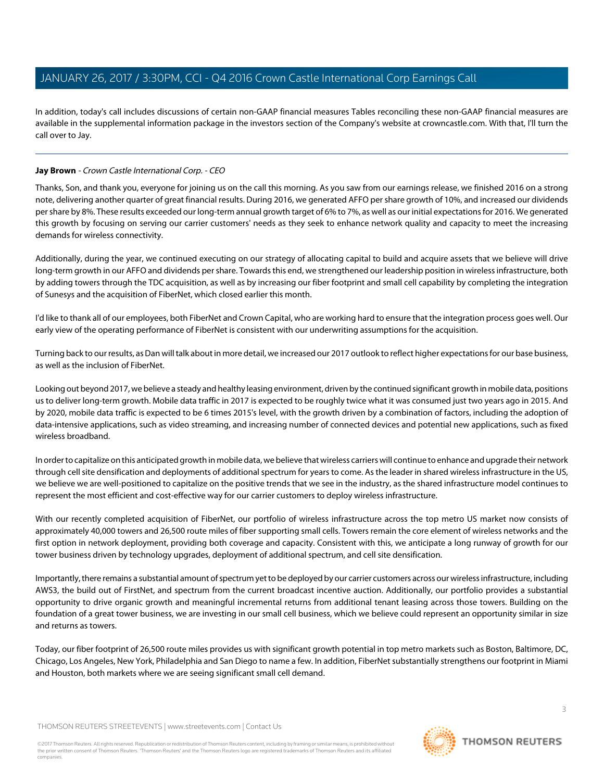In addition, today's call includes discussions of certain non-GAAP financial measures Tables reconciling these non-GAAP financial measures are available in the supplemental information package in the investors section of the Company's website at crowncastle.com. With that, I'll turn the call over to Jay.

# <span id="page-2-0"></span>**Jay Brown** - Crown Castle International Corp. - CEO

Thanks, Son, and thank you, everyone for joining us on the call this morning. As you saw from our earnings release, we finished 2016 on a strong note, delivering another quarter of great financial results. During 2016, we generated AFFO per share growth of 10%, and increased our dividends per share by 8%. These results exceeded our long-term annual growth target of 6% to 7%, as well as our initial expectations for 2016. We generated this growth by focusing on serving our carrier customers' needs as they seek to enhance network quality and capacity to meet the increasing demands for wireless connectivity.

Additionally, during the year, we continued executing on our strategy of allocating capital to build and acquire assets that we believe will drive long-term growth in our AFFO and dividends per share. Towards this end, we strengthened our leadership position in wireless infrastructure, both by adding towers through the TDC acquisition, as well as by increasing our fiber footprint and small cell capability by completing the integration of Sunesys and the acquisition of FiberNet, which closed earlier this month.

I'd like to thank all of our employees, both FiberNet and Crown Capital, who are working hard to ensure that the integration process goes well. Our early view of the operating performance of FiberNet is consistent with our underwriting assumptions for the acquisition.

Turning back to our results, as Dan will talk about in more detail, we increased our 2017 outlook to reflect higher expectations for our base business, as well as the inclusion of FiberNet.

Looking out beyond 2017, we believe a steady and healthy leasing environment, driven by the continued significant growth in mobile data, positions us to deliver long-term growth. Mobile data traffic in 2017 is expected to be roughly twice what it was consumed just two years ago in 2015. And by 2020, mobile data traffic is expected to be 6 times 2015's level, with the growth driven by a combination of factors, including the adoption of data-intensive applications, such as video streaming, and increasing number of connected devices and potential new applications, such as fixed wireless broadband.

In order to capitalize on this anticipated growth in mobile data, we believe that wireless carriers will continue to enhance and upgrade their network through cell site densification and deployments of additional spectrum for years to come. As the leader in shared wireless infrastructure in the US, we believe we are well-positioned to capitalize on the positive trends that we see in the industry, as the shared infrastructure model continues to represent the most efficient and cost-effective way for our carrier customers to deploy wireless infrastructure.

With our recently completed acquisition of FiberNet, our portfolio of wireless infrastructure across the top metro US market now consists of approximately 40,000 towers and 26,500 route miles of fiber supporting small cells. Towers remain the core element of wireless networks and the first option in network deployment, providing both coverage and capacity. Consistent with this, we anticipate a long runway of growth for our tower business driven by technology upgrades, deployment of additional spectrum, and cell site densification.

Importantly, there remains a substantial amount of spectrum yet to be deployed by our carrier customers across our wireless infrastructure, including AWS3, the build out of FirstNet, and spectrum from the current broadcast incentive auction. Additionally, our portfolio provides a substantial opportunity to drive organic growth and meaningful incremental returns from additional tenant leasing across those towers. Building on the foundation of a great tower business, we are investing in our small cell business, which we believe could represent an opportunity similar in size and returns as towers.

Today, our fiber footprint of 26,500 route miles provides us with significant growth potential in top metro markets such as Boston, Baltimore, DC, Chicago, Los Angeles, New York, Philadelphia and San Diego to name a few. In addition, FiberNet substantially strengthens our footprint in Miami and Houston, both markets where we are seeing significant small cell demand.

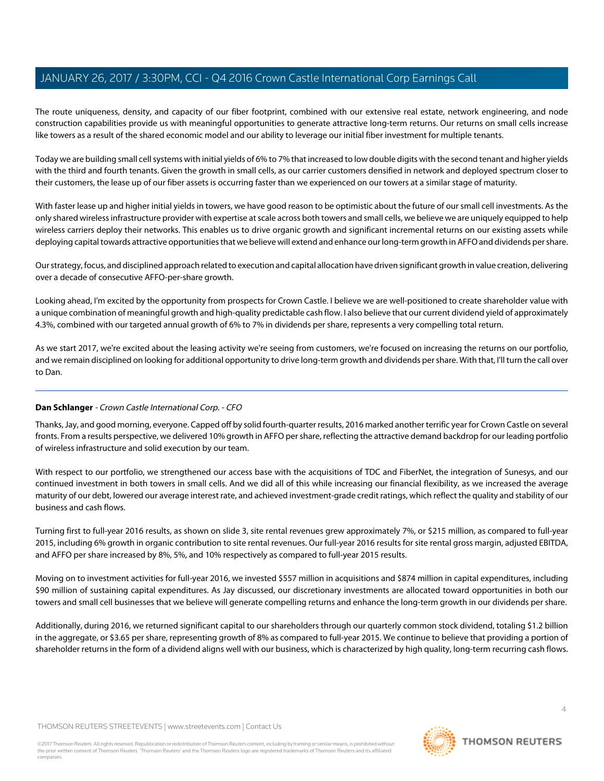The route uniqueness, density, and capacity of our fiber footprint, combined with our extensive real estate, network engineering, and node construction capabilities provide us with meaningful opportunities to generate attractive long-term returns. Our returns on small cells increase like towers as a result of the shared economic model and our ability to leverage our initial fiber investment for multiple tenants.

Today we are building small cell systems with initial yields of 6% to 7% that increased to low double digits with the second tenant and higher yields with the third and fourth tenants. Given the growth in small cells, as our carrier customers densified in network and deployed spectrum closer to their customers, the lease up of our fiber assets is occurring faster than we experienced on our towers at a similar stage of maturity.

With faster lease up and higher initial yields in towers, we have good reason to be optimistic about the future of our small cell investments. As the only shared wireless infrastructure provider with expertise at scale across both towers and small cells, we believe we are uniquely equipped to help wireless carriers deploy their networks. This enables us to drive organic growth and significant incremental returns on our existing assets while deploying capital towards attractive opportunities that we believe will extend and enhance our long-term growth in AFFO and dividends per share.

Our strategy, focus, and disciplined approach related to execution and capital allocation have driven significant growth in value creation, delivering over a decade of consecutive AFFO-per-share growth.

Looking ahead, I'm excited by the opportunity from prospects for Crown Castle. I believe we are well-positioned to create shareholder value with a unique combination of meaningful growth and high-quality predictable cash flow. I also believe that our current dividend yield of approximately 4.3%, combined with our targeted annual growth of 6% to 7% in dividends per share, represents a very compelling total return.

<span id="page-3-0"></span>As we start 2017, we're excited about the leasing activity we're seeing from customers, we're focused on increasing the returns on our portfolio, and we remain disciplined on looking for additional opportunity to drive long-term growth and dividends per share. With that, I'll turn the call over to Dan.

# **Dan Schlanger** - Crown Castle International Corp. - CFO

Thanks, Jay, and good morning, everyone. Capped off by solid fourth-quarter results, 2016 marked another terrific year for Crown Castle on several fronts. From a results perspective, we delivered 10% growth in AFFO per share, reflecting the attractive demand backdrop for our leading portfolio of wireless infrastructure and solid execution by our team.

With respect to our portfolio, we strengthened our access base with the acquisitions of TDC and FiberNet, the integration of Sunesys, and our continued investment in both towers in small cells. And we did all of this while increasing our financial flexibility, as we increased the average maturity of our debt, lowered our average interest rate, and achieved investment-grade credit ratings, which reflect the quality and stability of our business and cash flows.

Turning first to full-year 2016 results, as shown on slide 3, site rental revenues grew approximately 7%, or \$215 million, as compared to full-year 2015, including 6% growth in organic contribution to site rental revenues. Our full-year 2016 results for site rental gross margin, adjusted EBITDA, and AFFO per share increased by 8%, 5%, and 10% respectively as compared to full-year 2015 results.

Moving on to investment activities for full-year 2016, we invested \$557 million in acquisitions and \$874 million in capital expenditures, including \$90 million of sustaining capital expenditures. As Jay discussed, our discretionary investments are allocated toward opportunities in both our towers and small cell businesses that we believe will generate compelling returns and enhance the long-term growth in our dividends per share.

Additionally, during 2016, we returned significant capital to our shareholders through our quarterly common stock dividend, totaling \$1.2 billion in the aggregate, or \$3.65 per share, representing growth of 8% as compared to full-year 2015. We continue to believe that providing a portion of shareholder returns in the form of a dividend aligns well with our business, which is characterized by high quality, long-term recurring cash flows.

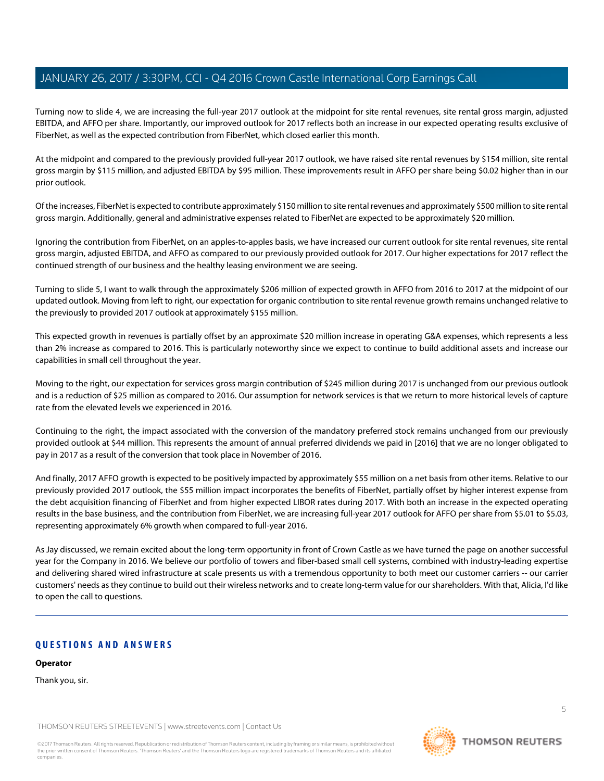Turning now to slide 4, we are increasing the full-year 2017 outlook at the midpoint for site rental revenues, site rental gross margin, adjusted EBITDA, and AFFO per share. Importantly, our improved outlook for 2017 reflects both an increase in our expected operating results exclusive of FiberNet, as well as the expected contribution from FiberNet, which closed earlier this month.

At the midpoint and compared to the previously provided full-year 2017 outlook, we have raised site rental revenues by \$154 million, site rental gross margin by \$115 million, and adjusted EBITDA by \$95 million. These improvements result in AFFO per share being \$0.02 higher than in our prior outlook.

Of the increases, FiberNet is expected to contribute approximately \$150 million to site rental revenues and approximately \$500 million to site rental gross margin. Additionally, general and administrative expenses related to FiberNet are expected to be approximately \$20 million.

Ignoring the contribution from FiberNet, on an apples-to-apples basis, we have increased our current outlook for site rental revenues, site rental gross margin, adjusted EBITDA, and AFFO as compared to our previously provided outlook for 2017. Our higher expectations for 2017 reflect the continued strength of our business and the healthy leasing environment we are seeing.

Turning to slide 5, I want to walk through the approximately \$206 million of expected growth in AFFO from 2016 to 2017 at the midpoint of our updated outlook. Moving from left to right, our expectation for organic contribution to site rental revenue growth remains unchanged relative to the previously to provided 2017 outlook at approximately \$155 million.

This expected growth in revenues is partially offset by an approximate \$20 million increase in operating G&A expenses, which represents a less than 2% increase as compared to 2016. This is particularly noteworthy since we expect to continue to build additional assets and increase our capabilities in small cell throughout the year.

Moving to the right, our expectation for services gross margin contribution of \$245 million during 2017 is unchanged from our previous outlook and is a reduction of \$25 million as compared to 2016. Our assumption for network services is that we return to more historical levels of capture rate from the elevated levels we experienced in 2016.

Continuing to the right, the impact associated with the conversion of the mandatory preferred stock remains unchanged from our previously provided outlook at \$44 million. This represents the amount of annual preferred dividends we paid in [2016] that we are no longer obligated to pay in 2017 as a result of the conversion that took place in November of 2016.

And finally, 2017 AFFO growth is expected to be positively impacted by approximately \$55 million on a net basis from other items. Relative to our previously provided 2017 outlook, the \$55 million impact incorporates the benefits of FiberNet, partially offset by higher interest expense from the debt acquisition financing of FiberNet and from higher expected LIBOR rates during 2017. With both an increase in the expected operating results in the base business, and the contribution from FiberNet, we are increasing full-year 2017 outlook for AFFO per share from \$5.01 to \$5.03, representing approximately 6% growth when compared to full-year 2016.

As Jay discussed, we remain excited about the long-term opportunity in front of Crown Castle as we have turned the page on another successful year for the Company in 2016. We believe our portfolio of towers and fiber-based small cell systems, combined with industry-leading expertise and delivering shared wired infrastructure at scale presents us with a tremendous opportunity to both meet our customer carriers -- our carrier customers' needs as they continue to build out their wireless networks and to create long-term value for our shareholders. With that, Alicia, I'd like to open the call to questions.

# **QUESTIONS AND ANSWERS**

**Operator**

Thank you, sir.

THOMSON REUTERS STREETEVENTS | [www.streetevents.com](http://www.streetevents.com) | [Contact Us](http://www010.streetevents.com/contact.asp)

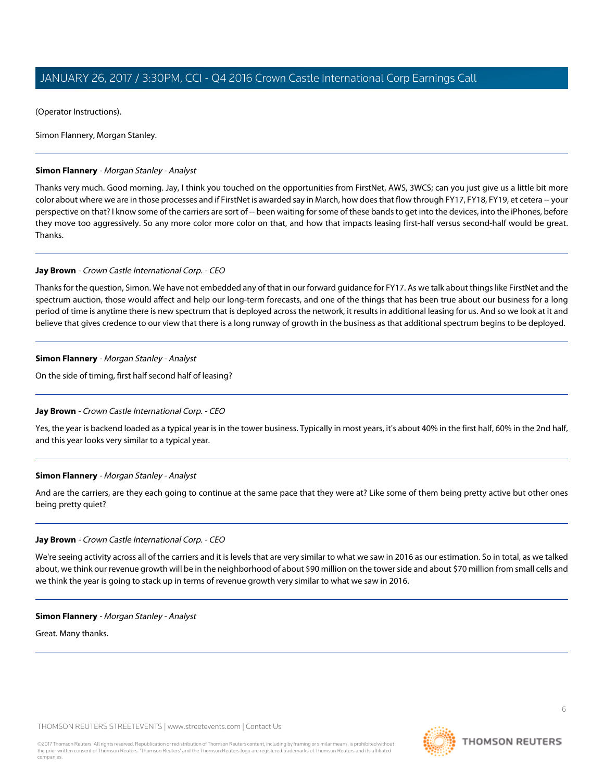(Operator Instructions).

Simon Flannery, Morgan Stanley.

# <span id="page-5-0"></span>**Simon Flannery** - Morgan Stanley - Analyst

Thanks very much. Good morning. Jay, I think you touched on the opportunities from FirstNet, AWS, 3WCS; can you just give us a little bit more color about where we are in those processes and if FirstNet is awarded say in March, how does that flow through FY17, FY18, FY19, et cetera -- your perspective on that? I know some of the carriers are sort of -- been waiting for some of these bands to get into the devices, into the iPhones, before they move too aggressively. So any more color more color on that, and how that impacts leasing first-half versus second-half would be great. Thanks.

#### **Jay Brown** - Crown Castle International Corp. - CEO

Thanks for the question, Simon. We have not embedded any of that in our forward guidance for FY17. As we talk about things like FirstNet and the spectrum auction, those would affect and help our long-term forecasts, and one of the things that has been true about our business for a long period of time is anytime there is new spectrum that is deployed across the network, it results in additional leasing for us. And so we look at it and believe that gives credence to our view that there is a long runway of growth in the business as that additional spectrum begins to be deployed.

#### **Simon Flannery** - Morgan Stanley - Analyst

On the side of timing, first half second half of leasing?

#### **Jay Brown** - Crown Castle International Corp. - CEO

Yes, the year is backend loaded as a typical year is in the tower business. Typically in most years, it's about 40% in the first half, 60% in the 2nd half, and this year looks very similar to a typical year.

#### **Simon Flannery** - Morgan Stanley - Analyst

And are the carriers, are they each going to continue at the same pace that they were at? Like some of them being pretty active but other ones being pretty quiet?

#### **Jay Brown** - Crown Castle International Corp. - CEO

We're seeing activity across all of the carriers and it is levels that are very similar to what we saw in 2016 as our estimation. So in total, as we talked about, we think our revenue growth will be in the neighborhood of about \$90 million on the tower side and about \$70 million from small cells and we think the year is going to stack up in terms of revenue growth very similar to what we saw in 2016.

#### **Simon Flannery** - Morgan Stanley - Analyst

Great. Many thanks.

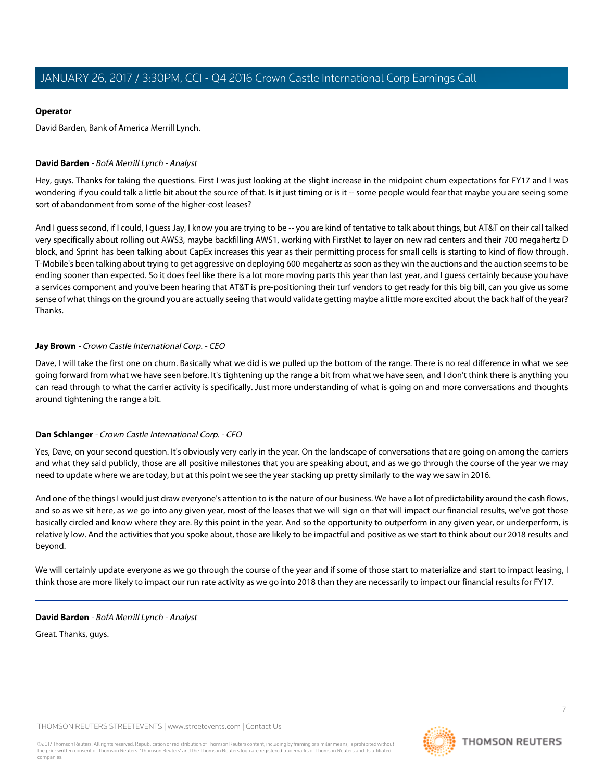# **Operator**

David Barden, Bank of America Merrill Lynch.

# <span id="page-6-0"></span>**David Barden** - BofA Merrill Lynch - Analyst

Hey, guys. Thanks for taking the questions. First I was just looking at the slight increase in the midpoint churn expectations for FY17 and I was wondering if you could talk a little bit about the source of that. Is it just timing or is it -- some people would fear that maybe you are seeing some sort of abandonment from some of the higher-cost leases?

And I guess second, if I could, I guess Jay, I know you are trying to be -- you are kind of tentative to talk about things, but AT&T on their call talked very specifically about rolling out AWS3, maybe backfilling AWS1, working with FirstNet to layer on new rad centers and their 700 megahertz D block, and Sprint has been talking about CapEx increases this year as their permitting process for small cells is starting to kind of flow through. T-Mobile's been talking about trying to get aggressive on deploying 600 megahertz as soon as they win the auctions and the auction seems to be ending sooner than expected. So it does feel like there is a lot more moving parts this year than last year, and I guess certainly because you have a services component and you've been hearing that AT&T is pre-positioning their turf vendors to get ready for this big bill, can you give us some sense of what things on the ground you are actually seeing that would validate getting maybe a little more excited about the back half of the year? Thanks.

# **Jay Brown** - Crown Castle International Corp. - CEO

Dave, I will take the first one on churn. Basically what we did is we pulled up the bottom of the range. There is no real difference in what we see going forward from what we have seen before. It's tightening up the range a bit from what we have seen, and I don't think there is anything you can read through to what the carrier activity is specifically. Just more understanding of what is going on and more conversations and thoughts around tightening the range a bit.

# **Dan Schlanger** - Crown Castle International Corp. - CFO

Yes, Dave, on your second question. It's obviously very early in the year. On the landscape of conversations that are going on among the carriers and what they said publicly, those are all positive milestones that you are speaking about, and as we go through the course of the year we may need to update where we are today, but at this point we see the year stacking up pretty similarly to the way we saw in 2016.

And one of the things I would just draw everyone's attention to is the nature of our business. We have a lot of predictability around the cash flows, and so as we sit here, as we go into any given year, most of the leases that we will sign on that will impact our financial results, we've got those basically circled and know where they are. By this point in the year. And so the opportunity to outperform in any given year, or underperform, is relatively low. And the activities that you spoke about, those are likely to be impactful and positive as we start to think about our 2018 results and beyond.

We will certainly update everyone as we go through the course of the year and if some of those start to materialize and start to impact leasing, I think those are more likely to impact our run rate activity as we go into 2018 than they are necessarily to impact our financial results for FY17.

# **David Barden** - BofA Merrill Lynch - Analyst

Great. Thanks, guys.

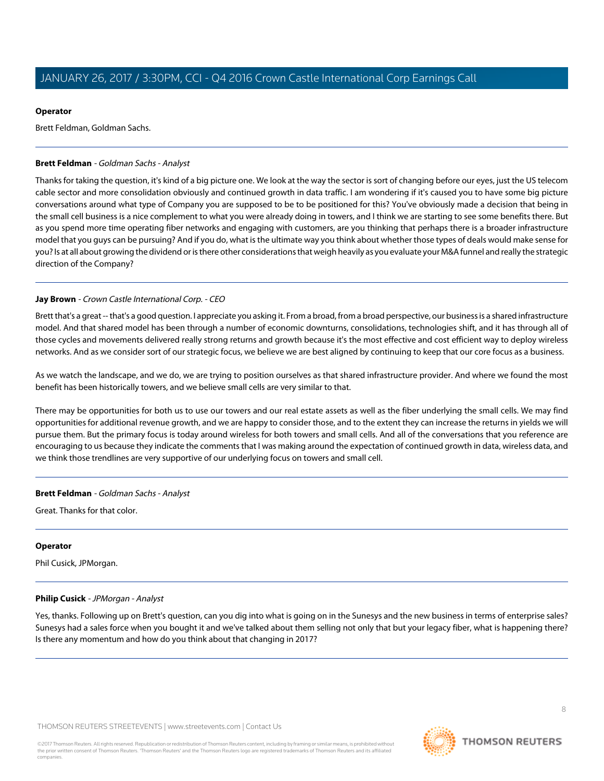### **Operator**

Brett Feldman, Goldman Sachs.

# <span id="page-7-0"></span>**Brett Feldman** - Goldman Sachs - Analyst

Thanks for taking the question, it's kind of a big picture one. We look at the way the sector is sort of changing before our eyes, just the US telecom cable sector and more consolidation obviously and continued growth in data traffic. I am wondering if it's caused you to have some big picture conversations around what type of Company you are supposed to be to be positioned for this? You've obviously made a decision that being in the small cell business is a nice complement to what you were already doing in towers, and I think we are starting to see some benefits there. But as you spend more time operating fiber networks and engaging with customers, are you thinking that perhaps there is a broader infrastructure model that you guys can be pursuing? And if you do, what is the ultimate way you think about whether those types of deals would make sense for you? Is at all about growing the dividend or is there other considerations that weigh heavily as you evaluate your M&A funnel and really the strategic direction of the Company?

# **Jay Brown** - Crown Castle International Corp. - CEO

Brett that's a great -- that's a good question. I appreciate you asking it. From a broad, from a broad perspective, our business is a shared infrastructure model. And that shared model has been through a number of economic downturns, consolidations, technologies shift, and it has through all of those cycles and movements delivered really strong returns and growth because it's the most effective and cost efficient way to deploy wireless networks. And as we consider sort of our strategic focus, we believe we are best aligned by continuing to keep that our core focus as a business.

As we watch the landscape, and we do, we are trying to position ourselves as that shared infrastructure provider. And where we found the most benefit has been historically towers, and we believe small cells are very similar to that.

There may be opportunities for both us to use our towers and our real estate assets as well as the fiber underlying the small cells. We may find opportunities for additional revenue growth, and we are happy to consider those, and to the extent they can increase the returns in yields we will pursue them. But the primary focus is today around wireless for both towers and small cells. And all of the conversations that you reference are encouraging to us because they indicate the comments that I was making around the expectation of continued growth in data, wireless data, and we think those trendlines are very supportive of our underlying focus on towers and small cell.

# **Brett Feldman** - Goldman Sachs - Analyst

Great. Thanks for that color.

# <span id="page-7-1"></span>**Operator**

Phil Cusick, JPMorgan.

# **Philip Cusick** - JPMorgan - Analyst

Yes, thanks. Following up on Brett's question, can you dig into what is going on in the Sunesys and the new business in terms of enterprise sales? Sunesys had a sales force when you bought it and we've talked about them selling not only that but your legacy fiber, what is happening there? Is there any momentum and how do you think about that changing in 2017?



8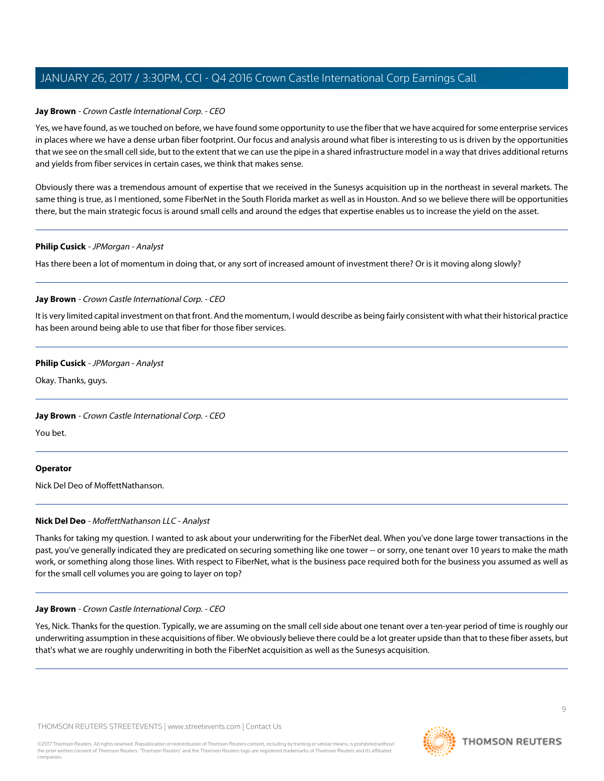### **Jay Brown** - Crown Castle International Corp. - CEO

Yes, we have found, as we touched on before, we have found some opportunity to use the fiber that we have acquired for some enterprise services in places where we have a dense urban fiber footprint. Our focus and analysis around what fiber is interesting to us is driven by the opportunities that we see on the small cell side, but to the extent that we can use the pipe in a shared infrastructure model in a way that drives additional returns and yields from fiber services in certain cases, we think that makes sense.

Obviously there was a tremendous amount of expertise that we received in the Sunesys acquisition up in the northeast in several markets. The same thing is true, as I mentioned, some FiberNet in the South Florida market as well as in Houston. And so we believe there will be opportunities there, but the main strategic focus is around small cells and around the edges that expertise enables us to increase the yield on the asset.

#### **Philip Cusick** - JPMorgan - Analyst

Has there been a lot of momentum in doing that, or any sort of increased amount of investment there? Or is it moving along slowly?

# **Jay Brown** - Crown Castle International Corp. - CEO

It is very limited capital investment on that front. And the momentum, I would describe as being fairly consistent with what their historical practice has been around being able to use that fiber for those fiber services.

# **Philip Cusick** - JPMorgan - Analyst

Okay. Thanks, guys.

# **Jay Brown** - Crown Castle International Corp. - CEO

You bet.

#### <span id="page-8-0"></span>**Operator**

Nick Del Deo of MoffettNathanson.

#### **Nick Del Deo** - MoffettNathanson LLC - Analyst

Thanks for taking my question. I wanted to ask about your underwriting for the FiberNet deal. When you've done large tower transactions in the past, you've generally indicated they are predicated on securing something like one tower -- or sorry, one tenant over 10 years to make the math work, or something along those lines. With respect to FiberNet, what is the business pace required both for the business you assumed as well as for the small cell volumes you are going to layer on top?

#### **Jay Brown** - Crown Castle International Corp. - CEO

Yes, Nick. Thanks for the question. Typically, we are assuming on the small cell side about one tenant over a ten-year period of time is roughly our underwriting assumption in these acquisitions of fiber. We obviously believe there could be a lot greater upside than that to these fiber assets, but that's what we are roughly underwriting in both the FiberNet acquisition as well as the Sunesys acquisition.

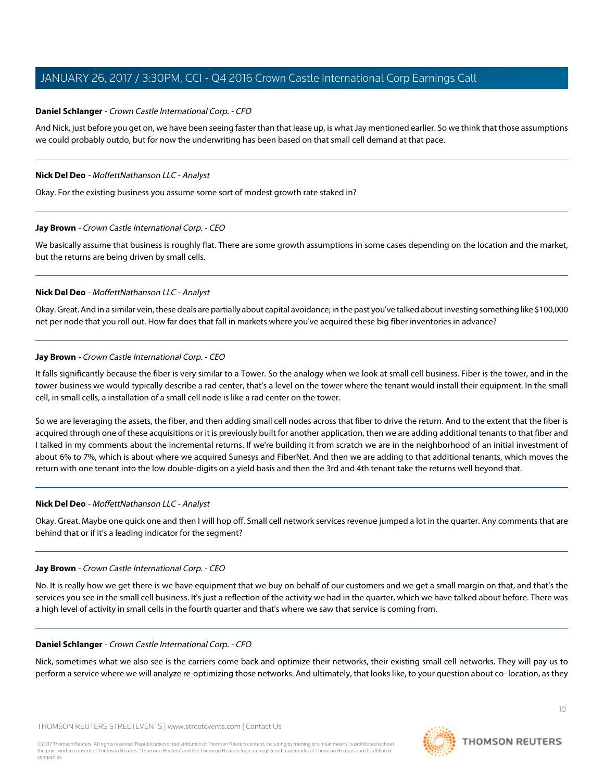# <span id="page-9-0"></span>**Daniel Schlanger** - Crown Castle International Corp. - CFO

And Nick, just before you get on, we have been seeing faster than that lease up, is what Jay mentioned earlier. So we think that those assumptions we could probably outdo, but for now the underwriting has been based on that small cell demand at that pace.

### **Nick Del Deo** - MoffettNathanson LLC - Analyst

Okay. For the existing business you assume some sort of modest growth rate staked in?

#### **Jay Brown** - Crown Castle International Corp. - CEO

We basically assume that business is roughly flat. There are some growth assumptions in some cases depending on the location and the market, but the returns are being driven by small cells.

#### **Nick Del Deo** - MoffettNathanson LLC - Analyst

Okay. Great. And in a similar vein, these deals are partially about capital avoidance; in the past you've talked about investing something like \$100,000 net per node that you roll out. How far does that fall in markets where you've acquired these big fiber inventories in advance?

# **Jay Brown** - Crown Castle International Corp. - CEO

It falls significantly because the fiber is very similar to a Tower. So the analogy when we look at small cell business. Fiber is the tower, and in the tower business we would typically describe a rad center, that's a level on the tower where the tenant would install their equipment. In the small cell, in small cells, a installation of a small cell node is like a rad center on the tower.

So we are leveraging the assets, the fiber, and then adding small cell nodes across that fiber to drive the return. And to the extent that the fiber is acquired through one of these acquisitions or it is previously built for another application, then we are adding additional tenants to that fiber and I talked in my comments about the incremental returns. If we're building it from scratch we are in the neighborhood of an initial investment of about 6% to 7%, which is about where we acquired Sunesys and FiberNet. And then we are adding to that additional tenants, which moves the return with one tenant into the low double-digits on a yield basis and then the 3rd and 4th tenant take the returns well beyond that.

# **Nick Del Deo** - MoffettNathanson LLC - Analyst

Okay. Great. Maybe one quick one and then I will hop off. Small cell network services revenue jumped a lot in the quarter. Any comments that are behind that or if it's a leading indicator for the segment?

#### **Jay Brown** - Crown Castle International Corp. - CEO

No. It is really how we get there is we have equipment that we buy on behalf of our customers and we get a small margin on that, and that's the services you see in the small cell business. It's just a reflection of the activity we had in the quarter, which we have talked about before. There was a high level of activity in small cells in the fourth quarter and that's where we saw that service is coming from.

#### **Daniel Schlanger** - Crown Castle International Corp. - CFO

Nick, sometimes what we also see is the carriers come back and optimize their networks, their existing small cell networks. They will pay us to perform a service where we will analyze re-optimizing those networks. And ultimately, that looks like, to your question about co- location, as they

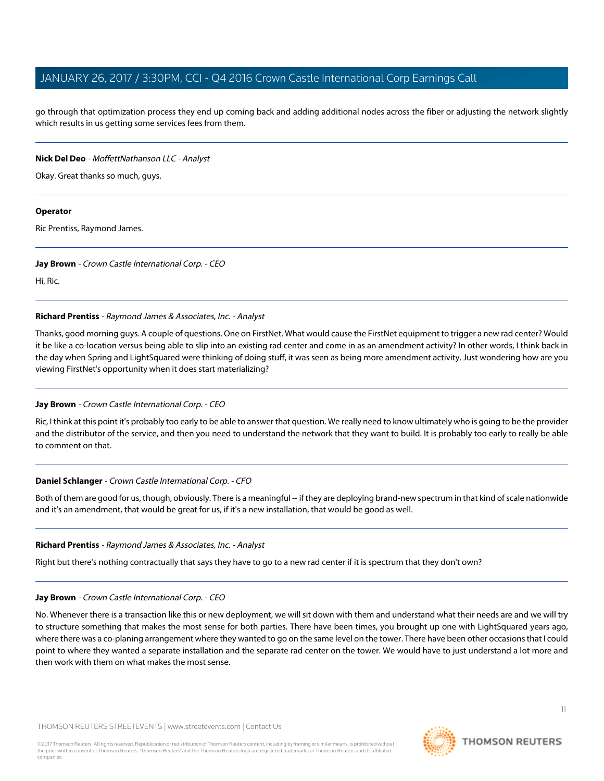go through that optimization process they end up coming back and adding additional nodes across the fiber or adjusting the network slightly which results in us getting some services fees from them.

# **Nick Del Deo** - MoffettNathanson LLC - Analyst

Okay. Great thanks so much, guys.

#### **Operator**

Ric Prentiss, Raymond James.

#### **Jay Brown** - Crown Castle International Corp. - CEO

<span id="page-10-0"></span>Hi, Ric.

# **Richard Prentiss** - Raymond James & Associates, Inc. - Analyst

Thanks, good morning guys. A couple of questions. One on FirstNet. What would cause the FirstNet equipment to trigger a new rad center? Would it be like a co-location versus being able to slip into an existing rad center and come in as an amendment activity? In other words, I think back in the day when Spring and LightSquared were thinking of doing stuff, it was seen as being more amendment activity. Just wondering how are you viewing FirstNet's opportunity when it does start materializing?

# **Jay Brown** - Crown Castle International Corp. - CEO

Ric, I think at this point it's probably too early to be able to answer that question. We really need to know ultimately who is going to be the provider and the distributor of the service, and then you need to understand the network that they want to build. It is probably too early to really be able to comment on that.

# **Daniel Schlanger** - Crown Castle International Corp. - CFO

Both of them are good for us, though, obviously. There is a meaningful -- if they are deploying brand-new spectrum in that kind of scale nationwide and it's an amendment, that would be great for us, if it's a new installation, that would be good as well.

#### **Richard Prentiss** - Raymond James & Associates, Inc. - Analyst

Right but there's nothing contractually that says they have to go to a new rad center if it is spectrum that they don't own?

#### **Jay Brown** - Crown Castle International Corp. - CEO

No. Whenever there is a transaction like this or new deployment, we will sit down with them and understand what their needs are and we will try to structure something that makes the most sense for both parties. There have been times, you brought up one with LightSquared years ago, where there was a co-planing arrangement where they wanted to go on the same level on the tower. There have been other occasions that I could point to where they wanted a separate installation and the separate rad center on the tower. We would have to just understand a lot more and then work with them on what makes the most sense.

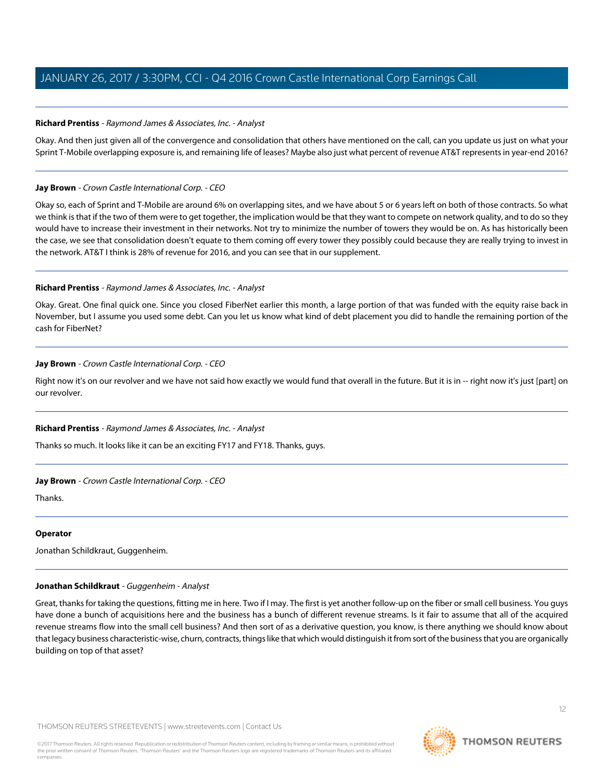# **Richard Prentiss** - Raymond James & Associates, Inc. - Analyst

Okay. And then just given all of the convergence and consolidation that others have mentioned on the call, can you update us just on what your Sprint T-Mobile overlapping exposure is, and remaining life of leases? Maybe also just what percent of revenue AT&T represents in year-end 2016?

# **Jay Brown** - Crown Castle International Corp. - CEO

Okay so, each of Sprint and T-Mobile are around 6% on overlapping sites, and we have about 5 or 6 years left on both of those contracts. So what we think is that if the two of them were to get together, the implication would be that they want to compete on network quality, and to do so they would have to increase their investment in their networks. Not try to minimize the number of towers they would be on. As has historically been the case, we see that consolidation doesn't equate to them coming off every tower they possibly could because they are really trying to invest in the network. AT&T I think is 28% of revenue for 2016, and you can see that in our supplement.

# **Richard Prentiss** - Raymond James & Associates, Inc. - Analyst

Okay. Great. One final quick one. Since you closed FiberNet earlier this month, a large portion of that was funded with the equity raise back in November, but I assume you used some debt. Can you let us know what kind of debt placement you did to handle the remaining portion of the cash for FiberNet?

# **Jay Brown** - Crown Castle International Corp. - CEO

Right now it's on our revolver and we have not said how exactly we would fund that overall in the future. But it is in -- right now it's just [part] on our revolver.

# **Richard Prentiss** - Raymond James & Associates, Inc. - Analyst

Thanks so much. It looks like it can be an exciting FY17 and FY18. Thanks, guys.

#### **Jay Brown** - Crown Castle International Corp. - CEO

Thanks.

#### <span id="page-11-0"></span>**Operator**

Jonathan Schildkraut, Guggenheim.

# **Jonathan Schildkraut** - Guggenheim - Analyst

Great, thanks for taking the questions, fitting me in here. Two if I may. The first is yet another follow-up on the fiber or small cell business. You guys have done a bunch of acquisitions here and the business has a bunch of different revenue streams. Is it fair to assume that all of the acquired revenue streams flow into the small cell business? And then sort of as a derivative question, you know, is there anything we should know about that legacy business characteristic-wise, churn, contracts, things like that which would distinguish it from sort of the business that you are organically building on top of that asset?

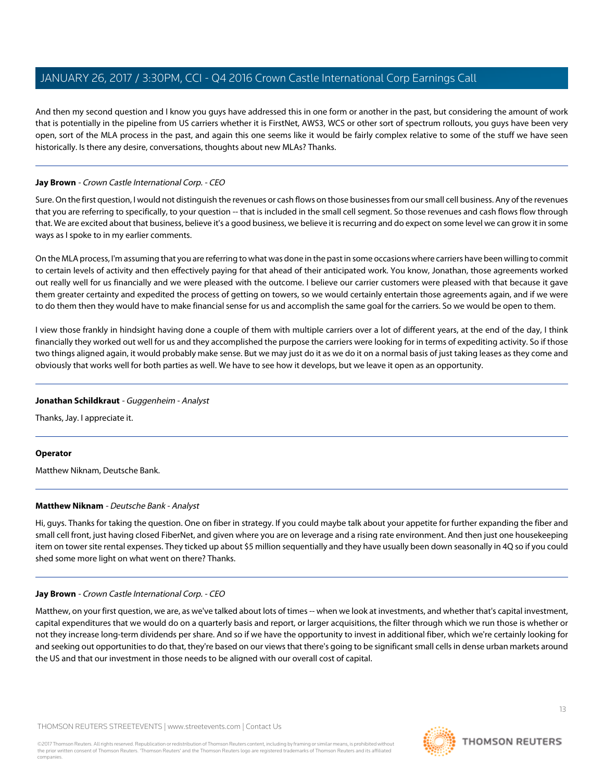And then my second question and I know you guys have addressed this in one form or another in the past, but considering the amount of work that is potentially in the pipeline from US carriers whether it is FirstNet, AWS3, WCS or other sort of spectrum rollouts, you guys have been very open, sort of the MLA process in the past, and again this one seems like it would be fairly complex relative to some of the stuff we have seen historically. Is there any desire, conversations, thoughts about new MLAs? Thanks.

# **Jay Brown** - Crown Castle International Corp. - CEO

Sure. On the first question, I would not distinguish the revenues or cash flows on those businesses from our small cell business. Any of the revenues that you are referring to specifically, to your question -- that is included in the small cell segment. So those revenues and cash flows flow through that. We are excited about that business, believe it's a good business, we believe it is recurring and do expect on some level we can grow it in some ways as I spoke to in my earlier comments.

On the MLA process, I'm assuming that you are referring to what was done in the past in some occasions where carriers have been willing to commit to certain levels of activity and then effectively paying for that ahead of their anticipated work. You know, Jonathan, those agreements worked out really well for us financially and we were pleased with the outcome. I believe our carrier customers were pleased with that because it gave them greater certainty and expedited the process of getting on towers, so we would certainly entertain those agreements again, and if we were to do them then they would have to make financial sense for us and accomplish the same goal for the carriers. So we would be open to them.

I view those frankly in hindsight having done a couple of them with multiple carriers over a lot of different years, at the end of the day, I think financially they worked out well for us and they accomplished the purpose the carriers were looking for in terms of expediting activity. So if those two things aligned again, it would probably make sense. But we may just do it as we do it on a normal basis of just taking leases as they come and obviously that works well for both parties as well. We have to see how it develops, but we leave it open as an opportunity.

#### **Jonathan Schildkraut** - Guggenheim - Analyst

Thanks, Jay. I appreciate it.

#### <span id="page-12-0"></span>**Operator**

Matthew Niknam, Deutsche Bank.

#### **Matthew Niknam** - Deutsche Bank - Analyst

Hi, guys. Thanks for taking the question. One on fiber in strategy. If you could maybe talk about your appetite for further expanding the fiber and small cell front, just having closed FiberNet, and given where you are on leverage and a rising rate environment. And then just one housekeeping item on tower site rental expenses. They ticked up about \$5 million sequentially and they have usually been down seasonally in 4Q so if you could shed some more light on what went on there? Thanks.

#### **Jay Brown** - Crown Castle International Corp. - CEO

Matthew, on your first question, we are, as we've talked about lots of times -- when we look at investments, and whether that's capital investment, capital expenditures that we would do on a quarterly basis and report, or larger acquisitions, the filter through which we run those is whether or not they increase long-term dividends per share. And so if we have the opportunity to invest in additional fiber, which we're certainly looking for and seeking out opportunities to do that, they're based on our views that there's going to be significant small cells in dense urban markets around the US and that our investment in those needs to be aligned with our overall cost of capital.

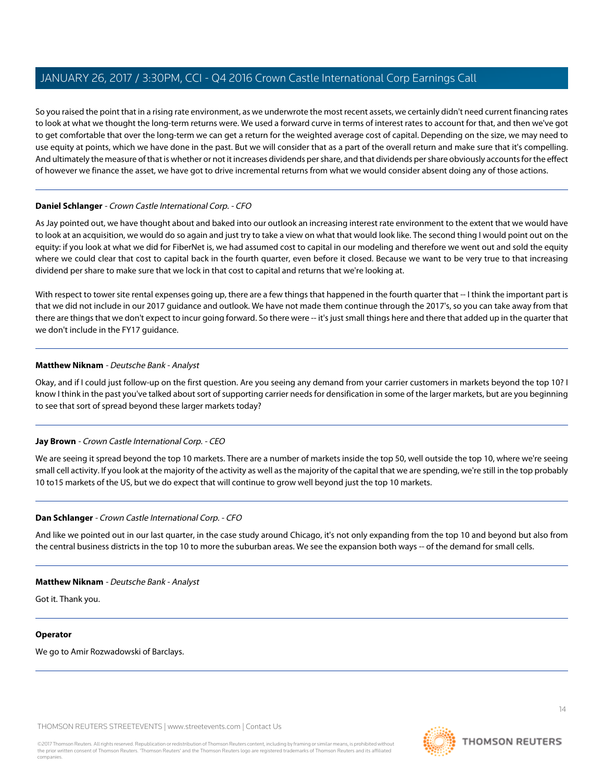So you raised the point that in a rising rate environment, as we underwrote the most recent assets, we certainly didn't need current financing rates to look at what we thought the long-term returns were. We used a forward curve in terms of interest rates to account for that, and then we've got to get comfortable that over the long-term we can get a return for the weighted average cost of capital. Depending on the size, we may need to use equity at points, which we have done in the past. But we will consider that as a part of the overall return and make sure that it's compelling. And ultimately the measure of that is whether or not it increases dividends per share, and that dividends per share obviously accounts for the effect of however we finance the asset, we have got to drive incremental returns from what we would consider absent doing any of those actions.

# **Daniel Schlanger** - Crown Castle International Corp. - CFO

As Jay pointed out, we have thought about and baked into our outlook an increasing interest rate environment to the extent that we would have to look at an acquisition, we would do so again and just try to take a view on what that would look like. The second thing I would point out on the equity: if you look at what we did for FiberNet is, we had assumed cost to capital in our modeling and therefore we went out and sold the equity where we could clear that cost to capital back in the fourth quarter, even before it closed. Because we want to be very true to that increasing dividend per share to make sure that we lock in that cost to capital and returns that we're looking at.

With respect to tower site rental expenses going up, there are a few things that happened in the fourth quarter that -- I think the important part is that we did not include in our 2017 guidance and outlook. We have not made them continue through the 2017's, so you can take away from that there are things that we don't expect to incur going forward. So there were -- it's just small things here and there that added up in the quarter that we don't include in the FY17 guidance.

# **Matthew Niknam** - Deutsche Bank - Analyst

Okay, and if I could just follow-up on the first question. Are you seeing any demand from your carrier customers in markets beyond the top 10? I know I think in the past you've talked about sort of supporting carrier needs for densification in some of the larger markets, but are you beginning to see that sort of spread beyond these larger markets today?

# **Jay Brown** - Crown Castle International Corp. - CEO

We are seeing it spread beyond the top 10 markets. There are a number of markets inside the top 50, well outside the top 10, where we're seeing small cell activity. If you look at the majority of the activity as well as the majority of the capital that we are spending, we're still in the top probably 10 to15 markets of the US, but we do expect that will continue to grow well beyond just the top 10 markets.

# **Dan Schlanger** - Crown Castle International Corp. - CFO

And like we pointed out in our last quarter, in the case study around Chicago, it's not only expanding from the top 10 and beyond but also from the central business districts in the top 10 to more the suburban areas. We see the expansion both ways -- of the demand for small cells.

#### **Matthew Niknam** - Deutsche Bank - Analyst

Got it. Thank you.

# **Operator**

We go to Amir Rozwadowski of Barclays.

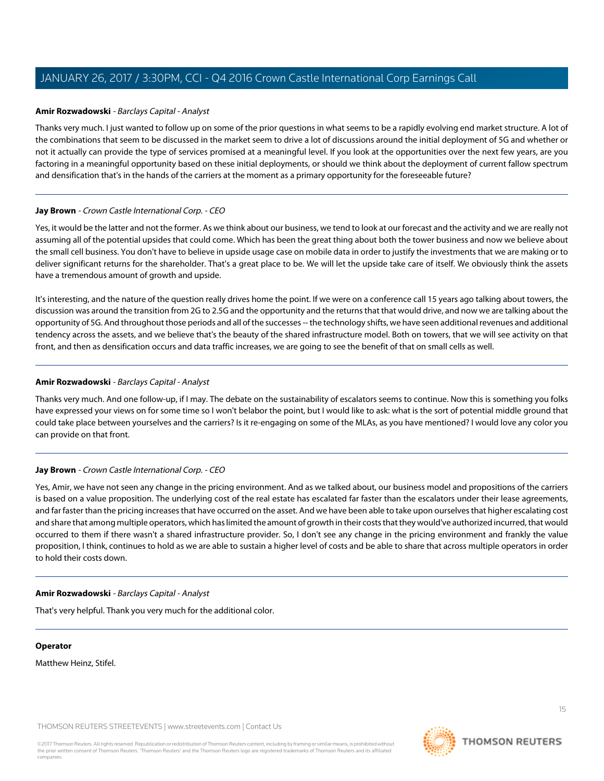# <span id="page-14-0"></span>**Amir Rozwadowski** - Barclays Capital - Analyst

Thanks very much. I just wanted to follow up on some of the prior questions in what seems to be a rapidly evolving end market structure. A lot of the combinations that seem to be discussed in the market seem to drive a lot of discussions around the initial deployment of 5G and whether or not it actually can provide the type of services promised at a meaningful level. If you look at the opportunities over the next few years, are you factoring in a meaningful opportunity based on these initial deployments, or should we think about the deployment of current fallow spectrum and densification that's in the hands of the carriers at the moment as a primary opportunity for the foreseeable future?

#### **Jay Brown** - Crown Castle International Corp. - CEO

Yes, it would be the latter and not the former. As we think about our business, we tend to look at our forecast and the activity and we are really not assuming all of the potential upsides that could come. Which has been the great thing about both the tower business and now we believe about the small cell business. You don't have to believe in upside usage case on mobile data in order to justify the investments that we are making or to deliver significant returns for the shareholder. That's a great place to be. We will let the upside take care of itself. We obviously think the assets have a tremendous amount of growth and upside.

It's interesting, and the nature of the question really drives home the point. If we were on a conference call 15 years ago talking about towers, the discussion was around the transition from 2G to 2.5G and the opportunity and the returns that that would drive, and now we are talking about the opportunity of 5G. And throughout those periods and all of the successes -- the technology shifts, we have seen additional revenues and additional tendency across the assets, and we believe that's the beauty of the shared infrastructure model. Both on towers, that we will see activity on that front, and then as densification occurs and data traffic increases, we are going to see the benefit of that on small cells as well.

# **Amir Rozwadowski** - Barclays Capital - Analyst

Thanks very much. And one follow-up, if I may. The debate on the sustainability of escalators seems to continue. Now this is something you folks have expressed your views on for some time so I won't belabor the point, but I would like to ask: what is the sort of potential middle ground that could take place between yourselves and the carriers? Is it re-engaging on some of the MLAs, as you have mentioned? I would love any color you can provide on that front.

# **Jay Brown** - Crown Castle International Corp. - CEO

Yes, Amir, we have not seen any change in the pricing environment. And as we talked about, our business model and propositions of the carriers is based on a value proposition. The underlying cost of the real estate has escalated far faster than the escalators under their lease agreements, and far faster than the pricing increases that have occurred on the asset. And we have been able to take upon ourselves that higher escalating cost and share that among multiple operators, which has limited the amount of growth in their costs that they would've authorized incurred, that would occurred to them if there wasn't a shared infrastructure provider. So, I don't see any change in the pricing environment and frankly the value proposition, I think, continues to hold as we are able to sustain a higher level of costs and be able to share that across multiple operators in order to hold their costs down.

#### **Amir Rozwadowski** - Barclays Capital - Analyst

That's very helpful. Thank you very much for the additional color.

#### **Operator**

Matthew Heinz, Stifel.

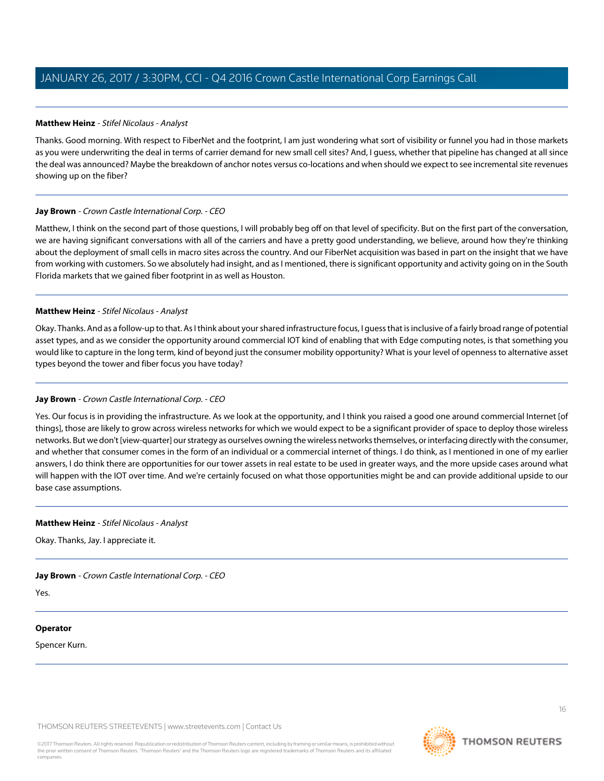# <span id="page-15-0"></span>**Matthew Heinz** - Stifel Nicolaus - Analyst

Thanks. Good morning. With respect to FiberNet and the footprint, I am just wondering what sort of visibility or funnel you had in those markets as you were underwriting the deal in terms of carrier demand for new small cell sites? And, I guess, whether that pipeline has changed at all since the deal was announced? Maybe the breakdown of anchor notes versus co-locations and when should we expect to see incremental site revenues showing up on the fiber?

# **Jay Brown** - Crown Castle International Corp. - CEO

Matthew, I think on the second part of those questions, I will probably beg off on that level of specificity. But on the first part of the conversation, we are having significant conversations with all of the carriers and have a pretty good understanding, we believe, around how they're thinking about the deployment of small cells in macro sites across the country. And our FiberNet acquisition was based in part on the insight that we have from working with customers. So we absolutely had insight, and as I mentioned, there is significant opportunity and activity going on in the South Florida markets that we gained fiber footprint in as well as Houston.

# **Matthew Heinz** - Stifel Nicolaus - Analyst

Okay. Thanks. And as a follow-up to that. As I think about your shared infrastructure focus, I guess that is inclusive of a fairly broad range of potential asset types, and as we consider the opportunity around commercial IOT kind of enabling that with Edge computing notes, is that something you would like to capture in the long term, kind of beyond just the consumer mobility opportunity? What is your level of openness to alternative asset types beyond the tower and fiber focus you have today?

# **Jay Brown** - Crown Castle International Corp. - CEO

Yes. Our focus is in providing the infrastructure. As we look at the opportunity, and I think you raised a good one around commercial Internet [of things], those are likely to grow across wireless networks for which we would expect to be a significant provider of space to deploy those wireless networks. But we don't [view-quarter] our strategy as ourselves owning the wireless networks themselves, or interfacing directly with the consumer, and whether that consumer comes in the form of an individual or a commercial internet of things. I do think, as I mentioned in one of my earlier answers, I do think there are opportunities for our tower assets in real estate to be used in greater ways, and the more upside cases around what will happen with the IOT over time. And we're certainly focused on what those opportunities might be and can provide additional upside to our base case assumptions.

#### **Matthew Heinz** - Stifel Nicolaus - Analyst

Okay. Thanks, Jay. I appreciate it.

**Jay Brown** - Crown Castle International Corp. - CEO

Yes.

#### **Operator**

Spencer Kurn.

THOMSON REUTERS STREETEVENTS | [www.streetevents.com](http://www.streetevents.com) | [Contact Us](http://www010.streetevents.com/contact.asp)



**THOMSON REUTERS**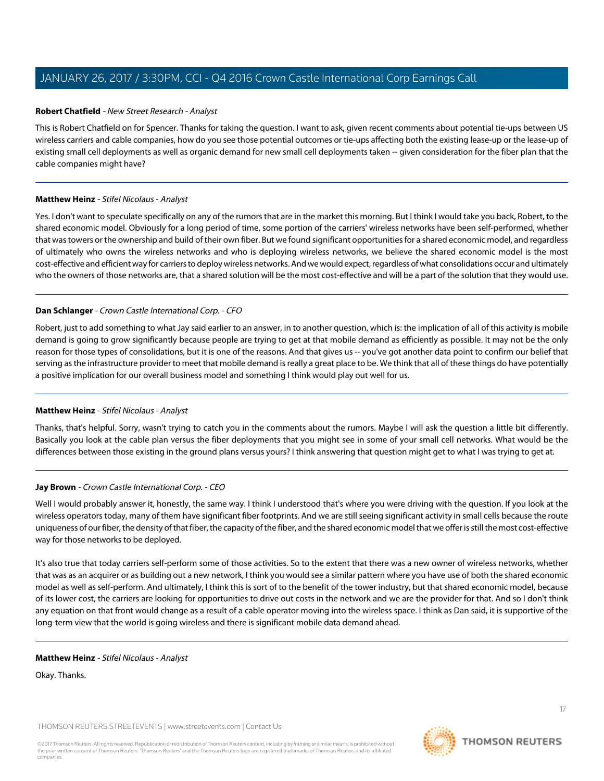# <span id="page-16-0"></span>**Robert Chatfield** - New Street Research - Analyst

This is Robert Chatfield on for Spencer. Thanks for taking the question. I want to ask, given recent comments about potential tie-ups between US wireless carriers and cable companies, how do you see those potential outcomes or tie-ups affecting both the existing lease-up or the lease-up of existing small cell deployments as well as organic demand for new small cell deployments taken -- given consideration for the fiber plan that the cable companies might have?

# **Matthew Heinz** - Stifel Nicolaus - Analyst

Yes. I don't want to speculate specifically on any of the rumors that are in the market this morning. But I think I would take you back, Robert, to the shared economic model. Obviously for a long period of time, some portion of the carriers' wireless networks have been self-performed, whether that was towers or the ownership and build of their own fiber. But we found significant opportunities for a shared economic model, and regardless of ultimately who owns the wireless networks and who is deploying wireless networks, we believe the shared economic model is the most cost-effective and efficient way for carriers to deploy wireless networks. And we would expect, regardless of what consolidations occur and ultimately who the owners of those networks are, that a shared solution will be the most cost-effective and will be a part of the solution that they would use.

# **Dan Schlanger** - Crown Castle International Corp. - CFO

Robert, just to add something to what Jay said earlier to an answer, in to another question, which is: the implication of all of this activity is mobile demand is going to grow significantly because people are trying to get at that mobile demand as efficiently as possible. It may not be the only reason for those types of consolidations, but it is one of the reasons. And that gives us -- you've got another data point to confirm our belief that serving as the infrastructure provider to meet that mobile demand is really a great place to be. We think that all of these things do have potentially a positive implication for our overall business model and something I think would play out well for us.

# **Matthew Heinz** - Stifel Nicolaus - Analyst

Thanks, that's helpful. Sorry, wasn't trying to catch you in the comments about the rumors. Maybe I will ask the question a little bit differently. Basically you look at the cable plan versus the fiber deployments that you might see in some of your small cell networks. What would be the differences between those existing in the ground plans versus yours? I think answering that question might get to what I was trying to get at.

# **Jay Brown** - Crown Castle International Corp. - CEO

Well I would probably answer it, honestly, the same way. I think I understood that's where you were driving with the question. If you look at the wireless operators today, many of them have significant fiber footprints. And we are still seeing significant activity in small cells because the route uniqueness of our fiber, the density of that fiber, the capacity of the fiber, and the shared economic model that we offer is still the most cost-effective way for those networks to be deployed.

It's also true that today carriers self-perform some of those activities. So to the extent that there was a new owner of wireless networks, whether that was as an acquirer or as building out a new network, I think you would see a similar pattern where you have use of both the shared economic model as well as self-perform. And ultimately, I think this is sort of to the benefit of the tower industry, but that shared economic model, because of its lower cost, the carriers are looking for opportunities to drive out costs in the network and we are the provider for that. And so I don't think any equation on that front would change as a result of a cable operator moving into the wireless space. I think as Dan said, it is supportive of the long-term view that the world is going wireless and there is significant mobile data demand ahead.

#### **Matthew Heinz** - Stifel Nicolaus - Analyst

Okay. Thanks.

THOMSON REUTERS STREETEVENTS | [www.streetevents.com](http://www.streetevents.com) | [Contact Us](http://www010.streetevents.com/contact.asp)

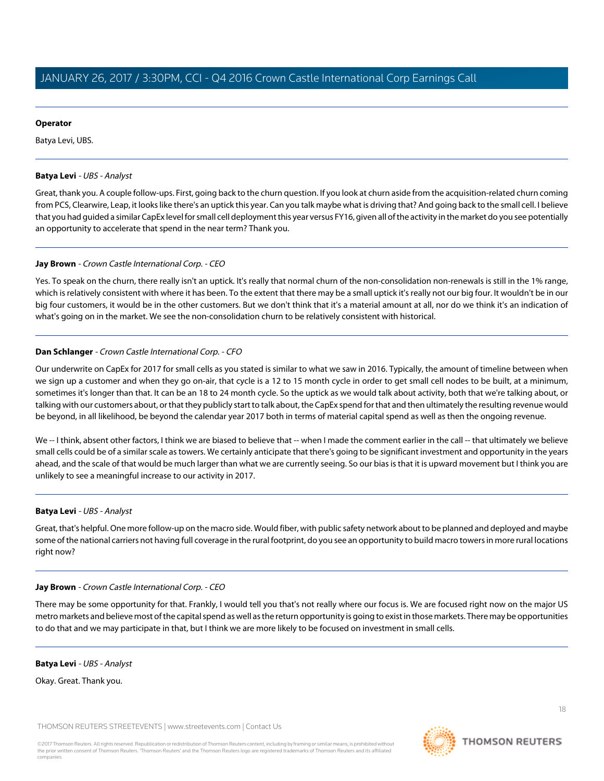# **Operator**

Batya Levi, UBS.

# <span id="page-17-0"></span>**Batya Levi** - UBS - Analyst

Great, thank you. A couple follow-ups. First, going back to the churn question. If you look at churn aside from the acquisition-related churn coming from PCS, Clearwire, Leap, it looks like there's an uptick this year. Can you talk maybe what is driving that? And going back to the small cell. I believe that you had guided a similar CapEx level for small cell deployment this year versus FY16, given all of the activity in the market do you see potentially an opportunity to accelerate that spend in the near term? Thank you.

# **Jay Brown** - Crown Castle International Corp. - CEO

Yes. To speak on the churn, there really isn't an uptick. It's really that normal churn of the non-consolidation non-renewals is still in the 1% range, which is relatively consistent with where it has been. To the extent that there may be a small uptick it's really not our big four. It wouldn't be in our big four customers, it would be in the other customers. But we don't think that it's a material amount at all, nor do we think it's an indication of what's going on in the market. We see the non-consolidation churn to be relatively consistent with historical.

# **Dan Schlanger** - Crown Castle International Corp. - CFO

Our underwrite on CapEx for 2017 for small cells as you stated is similar to what we saw in 2016. Typically, the amount of timeline between when we sign up a customer and when they go on-air, that cycle is a 12 to 15 month cycle in order to get small cell nodes to be built, at a minimum, sometimes it's longer than that. It can be an 18 to 24 month cycle. So the uptick as we would talk about activity, both that we're talking about, or talking with our customers about, or that they publicly start to talk about, the CapEx spend for that and then ultimately the resulting revenue would be beyond, in all likelihood, be beyond the calendar year 2017 both in terms of material capital spend as well as then the ongoing revenue.

We -- I think, absent other factors, I think we are biased to believe that -- when I made the comment earlier in the call -- that ultimately we believe small cells could be of a similar scale as towers. We certainly anticipate that there's going to be significant investment and opportunity in the years ahead, and the scale of that would be much larger than what we are currently seeing. So our bias is that it is upward movement but I think you are unlikely to see a meaningful increase to our activity in 2017.

# **Batya Levi** - UBS - Analyst

Great, that's helpful. One more follow-up on the macro side. Would fiber, with public safety network about to be planned and deployed and maybe some of the national carriers not having full coverage in the rural footprint, do you see an opportunity to build macro towers in more rural locations right now?

#### **Jay Brown** - Crown Castle International Corp. - CEO

There may be some opportunity for that. Frankly, I would tell you that's not really where our focus is. We are focused right now on the major US metro markets and believe most of the capital spend as well as the return opportunity is going to exist in those markets. There may be opportunities to do that and we may participate in that, but I think we are more likely to be focused on investment in small cells.

#### **Batya Levi** - UBS - Analyst

Okay. Great. Thank you.

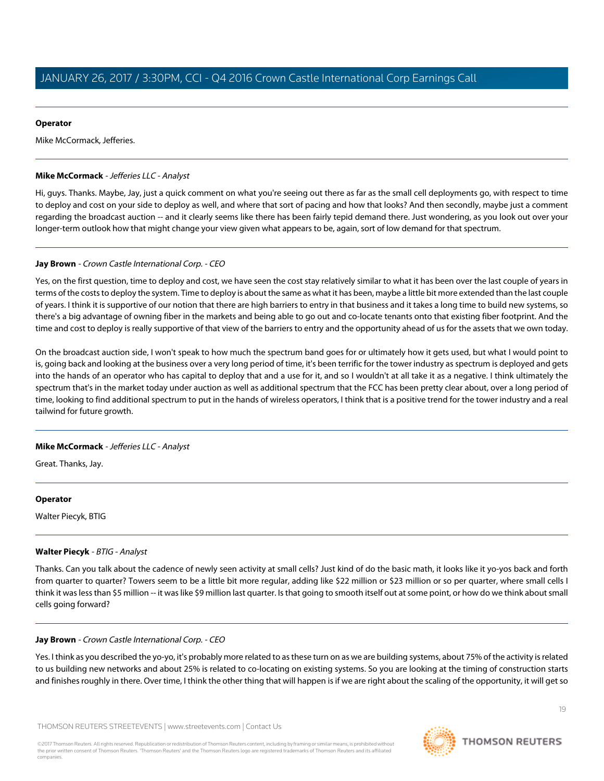### **Operator**

Mike McCormack, Jefferies.

# <span id="page-18-0"></span>**Mike McCormack** - Jefferies LLC - Analyst

Hi, guys. Thanks. Maybe, Jay, just a quick comment on what you're seeing out there as far as the small cell deployments go, with respect to time to deploy and cost on your side to deploy as well, and where that sort of pacing and how that looks? And then secondly, maybe just a comment regarding the broadcast auction -- and it clearly seems like there has been fairly tepid demand there. Just wondering, as you look out over your longer-term outlook how that might change your view given what appears to be, again, sort of low demand for that spectrum.

# **Jay Brown** - Crown Castle International Corp. - CEO

Yes, on the first question, time to deploy and cost, we have seen the cost stay relatively similar to what it has been over the last couple of years in terms of the costs to deploy the system. Time to deploy is about the same as what it has been, maybe a little bit more extended than the last couple of years. I think it is supportive of our notion that there are high barriers to entry in that business and it takes a long time to build new systems, so there's a big advantage of owning fiber in the markets and being able to go out and co-locate tenants onto that existing fiber footprint. And the time and cost to deploy is really supportive of that view of the barriers to entry and the opportunity ahead of us for the assets that we own today.

On the broadcast auction side, I won't speak to how much the spectrum band goes for or ultimately how it gets used, but what I would point to is, going back and looking at the business over a very long period of time, it's been terrific for the tower industry as spectrum is deployed and gets into the hands of an operator who has capital to deploy that and a use for it, and so I wouldn't at all take it as a negative. I think ultimately the spectrum that's in the market today under auction as well as additional spectrum that the FCC has been pretty clear about, over a long period of time, looking to find additional spectrum to put in the hands of wireless operators, I think that is a positive trend for the tower industry and a real tailwind for future growth.

# **Mike McCormack** - Jefferies LLC - Analyst

Great. Thanks, Jay.

#### <span id="page-18-1"></span>**Operator**

Walter Piecyk, BTIG

# **Walter Piecyk** - BTIG - Analyst

Thanks. Can you talk about the cadence of newly seen activity at small cells? Just kind of do the basic math, it looks like it yo-yos back and forth from quarter to quarter? Towers seem to be a little bit more regular, adding like \$22 million or \$23 million or so per quarter, where small cells I think it was less than \$5 million -- it was like \$9 million last quarter. Is that going to smooth itself out at some point, or how do we think about small cells going forward?

#### **Jay Brown** - Crown Castle International Corp. - CEO

Yes. I think as you described the yo-yo, it's probably more related to as these turn on as we are building systems, about 75% of the activity is related to us building new networks and about 25% is related to co-locating on existing systems. So you are looking at the timing of construction starts and finishes roughly in there. Over time, I think the other thing that will happen is if we are right about the scaling of the opportunity, it will get so

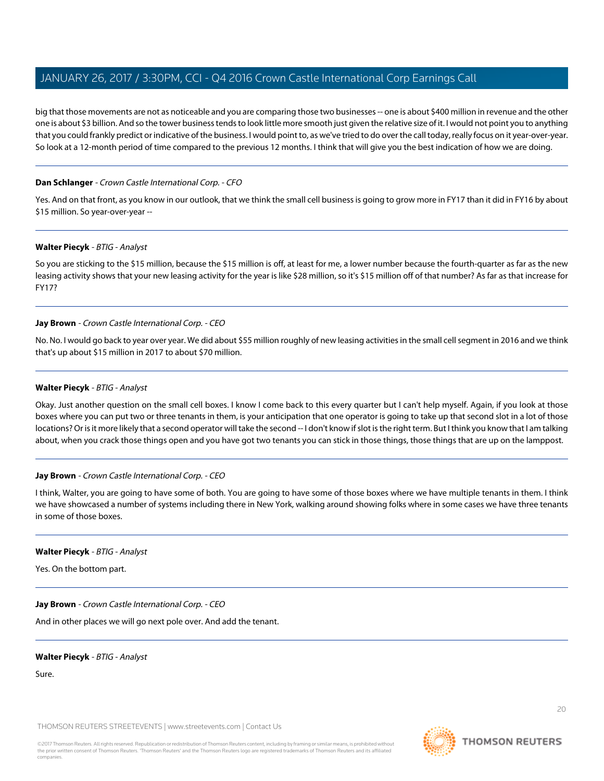big that those movements are not as noticeable and you are comparing those two businesses -- one is about \$400 million in revenue and the other one is about \$3 billion. And so the tower business tends to look little more smooth just given the relative size of it. I would not point you to anything that you could frankly predict or indicative of the business. I would point to, as we've tried to do over the call today, really focus on it year-over-year. So look at a 12-month period of time compared to the previous 12 months. I think that will give you the best indication of how we are doing.

# **Dan Schlanger** - Crown Castle International Corp. - CFO

Yes. And on that front, as you know in our outlook, that we think the small cell business is going to grow more in FY17 than it did in FY16 by about \$15 million. So year-over-year --

# **Walter Piecyk** - BTIG - Analyst

So you are sticking to the \$15 million, because the \$15 million is off, at least for me, a lower number because the fourth-quarter as far as the new leasing activity shows that your new leasing activity for the year is like \$28 million, so it's \$15 million off of that number? As far as that increase for FY17?

# **Jay Brown** - Crown Castle International Corp. - CEO

No. No. I would go back to year over year. We did about \$55 million roughly of new leasing activities in the small cell segment in 2016 and we think that's up about \$15 million in 2017 to about \$70 million.

# **Walter Piecyk** - BTIG - Analyst

Okay. Just another question on the small cell boxes. I know I come back to this every quarter but I can't help myself. Again, if you look at those boxes where you can put two or three tenants in them, is your anticipation that one operator is going to take up that second slot in a lot of those locations? Or is it more likely that a second operator will take the second -- I don't know if slot is the right term. But I think you know that I am talking about, when you crack those things open and you have got two tenants you can stick in those things, those things that are up on the lamppost.

#### **Jay Brown** - Crown Castle International Corp. - CEO

I think, Walter, you are going to have some of both. You are going to have some of those boxes where we have multiple tenants in them. I think we have showcased a number of systems including there in New York, walking around showing folks where in some cases we have three tenants in some of those boxes.

#### **Walter Piecyk** - BTIG - Analyst

Yes. On the bottom part.

**Jay Brown** - Crown Castle International Corp. - CEO

And in other places we will go next pole over. And add the tenant.

# **Walter Piecyk** - BTIG - Analyst

Sure.

THOMSON REUTERS STREETEVENTS | [www.streetevents.com](http://www.streetevents.com) | [Contact Us](http://www010.streetevents.com/contact.asp)

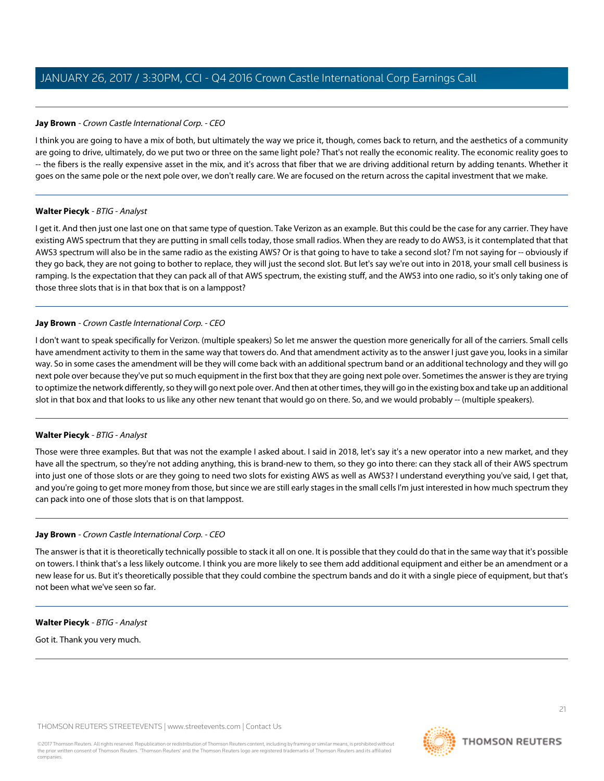# **Jay Brown** - Crown Castle International Corp. - CEO

I think you are going to have a mix of both, but ultimately the way we price it, though, comes back to return, and the aesthetics of a community are going to drive, ultimately, do we put two or three on the same light pole? That's not really the economic reality. The economic reality goes to -- the fibers is the really expensive asset in the mix, and it's across that fiber that we are driving additional return by adding tenants. Whether it goes on the same pole or the next pole over, we don't really care. We are focused on the return across the capital investment that we make.

# **Walter Piecyk** - BTIG - Analyst

I get it. And then just one last one on that same type of question. Take Verizon as an example. But this could be the case for any carrier. They have existing AWS spectrum that they are putting in small cells today, those small radios. When they are ready to do AWS3, is it contemplated that that AWS3 spectrum will also be in the same radio as the existing AWS? Or is that going to have to take a second slot? I'm not saying for -- obviously if they go back, they are not going to bother to replace, they will just the second slot. But let's say we're out into in 2018, your small cell business is ramping. Is the expectation that they can pack all of that AWS spectrum, the existing stuff, and the AWS3 into one radio, so it's only taking one of those three slots that is in that box that is on a lamppost?

# **Jay Brown** - Crown Castle International Corp. - CEO

I don't want to speak specifically for Verizon. (multiple speakers) So let me answer the question more generically for all of the carriers. Small cells have amendment activity to them in the same way that towers do. And that amendment activity as to the answer I just gave you, looks in a similar way. So in some cases the amendment will be they will come back with an additional spectrum band or an additional technology and they will go next pole over because they've put so much equipment in the first box that they are going next pole over. Sometimes the answer is they are trying to optimize the network differently, so they will go next pole over. And then at other times, they will go in the existing box and take up an additional slot in that box and that looks to us like any other new tenant that would go on there. So, and we would probably -- (multiple speakers).

# **Walter Piecyk** - BTIG - Analyst

Those were three examples. But that was not the example I asked about. I said in 2018, let's say it's a new operator into a new market, and they have all the spectrum, so they're not adding anything, this is brand-new to them, so they go into there: can they stack all of their AWS spectrum into just one of those slots or are they going to need two slots for existing AWS as well as AWS3? I understand everything you've said, I get that, and you're going to get more money from those, but since we are still early stages in the small cells I'm just interested in how much spectrum they can pack into one of those slots that is on that lamppost.

# **Jay Brown** - Crown Castle International Corp. - CEO

The answer is that it is theoretically technically possible to stack it all on one. It is possible that they could do that in the same way that it's possible on towers. I think that's a less likely outcome. I think you are more likely to see them add additional equipment and either be an amendment or a new lease for us. But it's theoretically possible that they could combine the spectrum bands and do it with a single piece of equipment, but that's not been what we've seen so far.

# **Walter Piecyk** - BTIG - Analyst

Got it. Thank you very much.

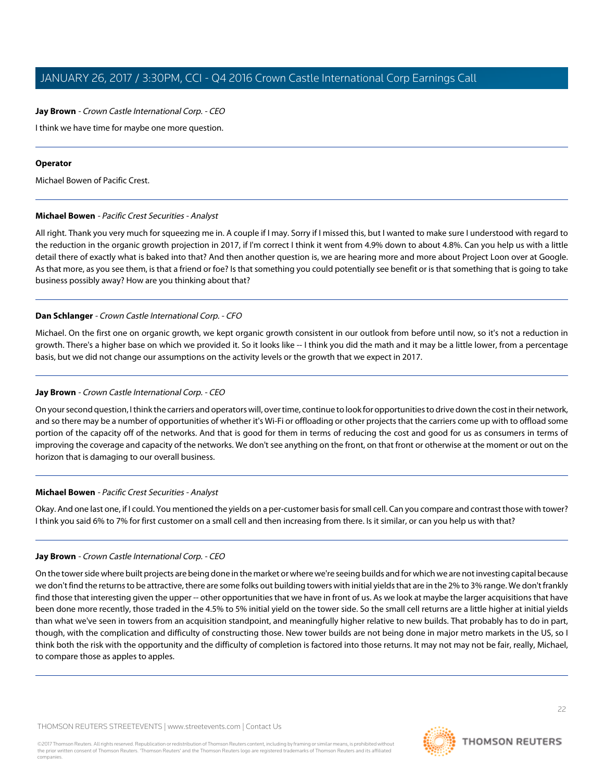# **Jay Brown** - Crown Castle International Corp. - CEO

I think we have time for maybe one more question.

### **Operator**

<span id="page-21-0"></span>Michael Bowen of Pacific Crest.

# **Michael Bowen** - Pacific Crest Securities - Analyst

All right. Thank you very much for squeezing me in. A couple if I may. Sorry if I missed this, but I wanted to make sure I understood with regard to the reduction in the organic growth projection in 2017, if I'm correct I think it went from 4.9% down to about 4.8%. Can you help us with a little detail there of exactly what is baked into that? And then another question is, we are hearing more and more about Project Loon over at Google. As that more, as you see them, is that a friend or foe? Is that something you could potentially see benefit or is that something that is going to take business possibly away? How are you thinking about that?

# **Dan Schlanger** - Crown Castle International Corp. - CFO

Michael. On the first one on organic growth, we kept organic growth consistent in our outlook from before until now, so it's not a reduction in growth. There's a higher base on which we provided it. So it looks like -- I think you did the math and it may be a little lower, from a percentage basis, but we did not change our assumptions on the activity levels or the growth that we expect in 2017.

# **Jay Brown** - Crown Castle International Corp. - CEO

On your second question, I think the carriers and operators will, over time, continue to look for opportunities to drive down the cost in their network, and so there may be a number of opportunities of whether it's Wi-Fi or offloading or other projects that the carriers come up with to offload some portion of the capacity off of the networks. And that is good for them in terms of reducing the cost and good for us as consumers in terms of improving the coverage and capacity of the networks. We don't see anything on the front, on that front or otherwise at the moment or out on the horizon that is damaging to our overall business.

# **Michael Bowen** - Pacific Crest Securities - Analyst

Okay. And one last one, if I could. You mentioned the yields on a per-customer basis for small cell. Can you compare and contrast those with tower? I think you said 6% to 7% for first customer on a small cell and then increasing from there. Is it similar, or can you help us with that?

# **Jay Brown** - Crown Castle International Corp. - CEO

On the tower side where built projects are being done in the market or where we're seeing builds and for which we are not investing capital because we don't find the returns to be attractive, there are some folks out building towers with initial yields that are in the 2% to 3% range. We don't frankly find those that interesting given the upper -- other opportunities that we have in front of us. As we look at maybe the larger acquisitions that have been done more recently, those traded in the 4.5% to 5% initial yield on the tower side. So the small cell returns are a little higher at initial yields than what we've seen in towers from an acquisition standpoint, and meaningfully higher relative to new builds. That probably has to do in part, though, with the complication and difficulty of constructing those. New tower builds are not being done in major metro markets in the US, so I think both the risk with the opportunity and the difficulty of completion is factored into those returns. It may not may not be fair, really, Michael, to compare those as apples to apples.